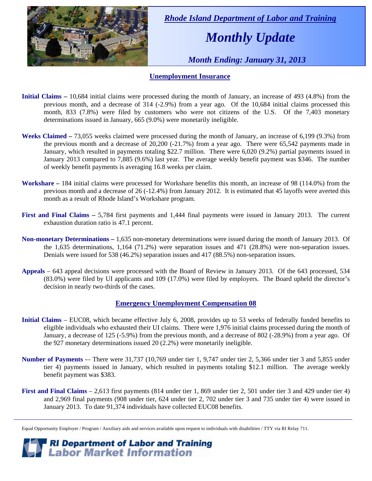

 *Rhode Island Department of Labor and Training* 

# *Monthly Update*

 *Month Ending: January 31, 2013* 

#### **Unemployment Insurance**

- **Initial Claims** 10,684 initial claims were processed during the month of January, an increase of 493 (4.8%) from the previous month, and a decrease of 314 (-2.9%) from a year ago. Of the 10,684 initial claims processed this month, 833 (7.8%) were filed by customers who were not citizens of the U.S. Of the 7,403 monetary determinations issued in January, 665 (9.0%) were monetarily ineligible.
- **Weeks Claimed** 73,055 weeks claimed were processed during the month of January, an increase of 6,199 (9.3%) from the previous month and a decrease of 20,200 (-21.7%) from a year ago. There were 65,542 payments made in January, which resulted in payments totaling \$22.7 million. There were 6,020 (9.2%) partial payments issued in January 2013 compared to 7,885 (9.6%) last year. The average weekly benefit payment was \$346. The number of weekly benefit payments is averaging 16.8 weeks per claim.
- **Workshare –** 184 initial claims were processed for Workshare benefits this month, an increase of 98 (114.0%) from the previous month and a decrease of 26 (-12.4%) from January 2012. It is estimated that 45 layoffs were averted this month as a result of Rhode Island's Workshare program.
- **First and Final Claims –** 5,784 first payments and 1,444 final payments were issued in January 2013. The current exhaustion duration ratio is 47.1 percent.
- **Non-monetary Determinations –** 1,635 non-monetary determinations were issued during the month of January 2013. Of the 1,635 determinations, 1,164 (71.2%) were separation issues and 471 (28.8%) were non-separation issues. Denials were issued for 538 (46.2%) separation issues and 417 (88.5%) non-separation issues.
- **Appeals** 643 appeal decisions were processed with the Board of Review in January 2013. Of the 643 processed, 534 (83.0%) were filed by UI applicants and 109 (17.0%) were filed by employers. The Board upheld the director's decision in nearly two-thirds of the cases.

#### **Emergency Unemployment Compensation 08**

- **Initial Claims**  EUC08, which became effective July 6, 2008, provides up to 53 weeks of federally funded benefits to eligible individuals who exhausted their UI claims. There were 1,976 initial claims processed during the month of January, a decrease of 125 (-5.9%) from the previous month, and a decrease of 802 (-28.9%) from a year ago. Of the 927 monetary determinations issued 20 (2.2%) were monetarily ineligible.
- **Number of Payments** -– There were 31,737 (10,769 under tier 1, 9,747 under tier 2, 5,366 under tier 3 and 5,855 under tier 4) payments issued in January, which resulted in payments totaling \$12.1 million. The average weekly benefit payment was \$383.
- **First and Final Claims**  2,613 first payments (814 under tier 1, 869 under tier 2, 501 under tier 3 and 429 under tier 4) and 2,969 final payments (908 under tier, 624 under tier 2, 702 under tier 3 and 735 under tier 4) were issued in January 2013. To date 91,374 individuals have collected EUC08 benefits.

*RI Department of Labor and Training*<br>*Labor Market Information* 

Equal Opportunity Employer / Program / Auxiliary aids and services available upon request to individuals with disabilities / TTY via RI Relay 711.